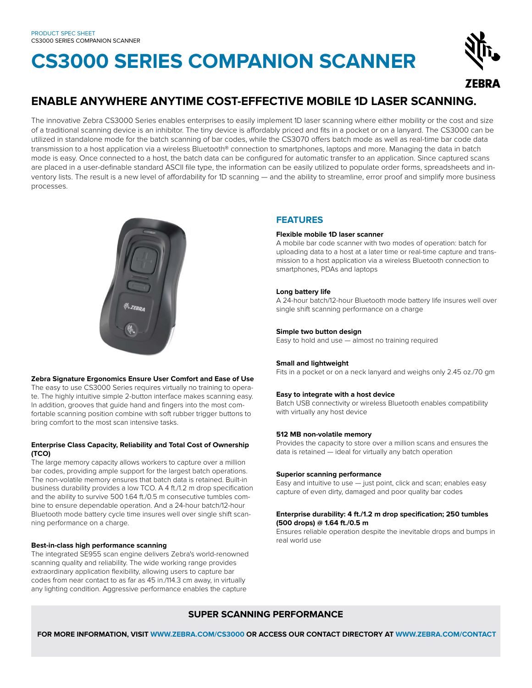# **CS3000 SERIES COMPANION SCANNER**



# **ENABLE ANYWHERE ANYTIME COST-EFFECTIVE MOBILE 1D LASER SCANNING.**

The innovative Zebra CS3000 Series enables enterprises to easily implement 1D laser scanning where either mobility or the cost and size of a traditional scanning device is an inhibitor. The tiny device is affordably priced and fits in a pocket or on a lanyard. The CS3000 can be utilized in standalone mode for the batch scanning of bar codes, while the CS3070 offers batch mode as well as real-time bar code data transmission to a host application via a wireless Bluetooth® connection to smartphones, laptops and more. Managing the data in batch mode is easy. Once connected to a host, the batch data can be configured for automatic transfer to an application. Since captured scans are placed in a user-definable standard ASCII file type, the information can be easily utilized to populate order forms, spreadsheets and inventory lists. The result is a new level of affordability for 1D scanning — and the ability to streamline, error proof and simplify more business processes.



# **Zebra Signature Ergonomics Ensure User Comfort and Ease of Use**

The easy to use CS3000 Series requires virtually no training to operate. The highly intuitive simple 2-button interface makes scanning easy. In addition, grooves that guide hand and fingers into the most comfortable scanning position combine with soft rubber trigger buttons to bring comfort to the most scan intensive tasks.

# **Enterprise Class Capacity, Reliability and Total Cost of Ownership (TCO)**

The large memory capacity allows workers to capture over a million bar codes, providing ample support for the largest batch operations. The non-volatile memory ensures that batch data is retained. Built-in business durability provides a low TCO. A 4 ft./1.2 m drop specification and the ability to survive 500 1.64 ft./0.5 m consecutive tumbles combine to ensure dependable operation. And a 24-hour batch/12-hour Bluetooth mode battery cycle time insures well over single shift scanning performance on a charge.

# **Best-in-class high performance scanning**

The integrated SE955 scan engine delivers Zebra's world-renowned scanning quality and reliability. The wide working range provides extraordinary application flexibility, allowing users to capture bar codes from near contact to as far as 45 in./114.3 cm away, in virtually any lighting condition. Aggressive performance enables the capture

# **FEATURES**

# **Flexible mobile 1D laser scanner**

A mobile bar code scanner with two modes of operation: batch for uploading data to a host at a later time or real-time capture and transmission to a host application via a wireless Bluetooth connection to smartphones, PDAs and laptops

# **Long battery life**

A 24-hour batch/12-hour Bluetooth mode battery life insures well over single shift scanning performance on a charge

# **Simple two button design**

Easy to hold and use — almost no training required

# **Small and lightweight**

Fits in a pocket or on a neck lanyard and weighs only 2.45 oz./70 gm

# **Easy to integrate with a host device**

Batch USB connectivity or wireless Bluetooth enables compatibility with virtually any host device

# **512 MB non-volatile memory**

Provides the capacity to store over a million scans and ensures the data is retained — ideal for virtually any batch operation

# **Superior scanning performance**

Easy and intuitive to use — just point, click and scan; enables easy capture of even dirty, damaged and poor quality bar codes

# **Enterprise durability: 4 ft./1.2 m drop specification; 250 tumbles (500 drops) @ 1.64 ft./0.5 m**

Ensures reliable operation despite the inevitable drops and bumps in real world use

# **SUPER SCANNING PERFORMANCE**

 **FOR MORE INFORMATION, VISIT WWW.ZEBRA.COM/CS3000 OR ACCESS OUR CONTACT DIRECTORY AT WWW.ZEBRA.COM/CONTACT**